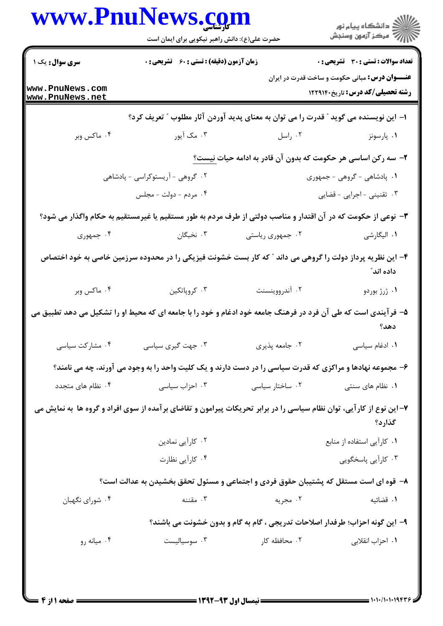|                                    | حضرت علی(ع): دانش راهبر نیکویی برای ایمان است                                                                        |                                                                              | ڪ دانشڪاه پيام نور<br>ر∕⊂ مرڪز آزمون وسنڊش                                                       |
|------------------------------------|----------------------------------------------------------------------------------------------------------------------|------------------------------------------------------------------------------|--------------------------------------------------------------------------------------------------|
| <b>سری سوال :</b> یک ۱             | <b>زمان آزمون (دقیقه) : تستی : 60 ٪ تشریحی : 0</b>                                                                   |                                                                              | <b>تعداد سوالات : تستي : 30 ٪ تشريحي : 0</b>                                                     |
| www.PnuNews.com<br>www.PnuNews.net |                                                                                                                      |                                                                              | <b>عنـــوان درس:</b> مبانی حکومت و ساخت قدرت در ایران<br><b>رشته تحصیلی/کد درس:</b> تاریخ۱۲۲۹۱۴۰ |
|                                    | ا– این نویسنده می گوید " قدرت را می توان به معنای پدید آوردن آثار مطلوب " تعریف کرد؟                                 |                                                                              |                                                                                                  |
| ۰۴ ماکس وبر                        | ۰۳ مک آیور                                                                                                           | ۰۲ راسل                                                                      | ۰۱ پارسونز                                                                                       |
|                                    |                                                                                                                      | ۲– سه رکن اساسی هر حکومت که بدون آن قادر به ادامه حیات نیست؟                 |                                                                                                  |
| ۰۲ گروهی - آریستوکراسی - پادشاهی   |                                                                                                                      |                                                                              | ۰۱ پادشاهی - گروهی - جمهوری                                                                      |
|                                    | ۰۴ مردم - دولت - مجلس                                                                                                |                                                                              | ۰۳ تقنینی - اجرایی - قضایی                                                                       |
|                                    | ۳- نوعی از حکومت که در آن اقتدار و مناصب دولتی از طرف مردم به طور مستقیم یا غیرمستقیم به حکام واگذار می شود؟         |                                                                              |                                                                                                  |
| ۰۴ جمهوری                          | ۰۳ نخبگان                                                                                                            | ۰۲ جمهوری ریاستی                                                             | ١. اليگارشي                                                                                      |
|                                    | ۴– این نظریه پرداز دولت را گروهی می داند ″ که کار بست خشونت فیزیکی را در محدوده سرزمین خاصی به خود اختصاص            |                                                                              | داده اند ً                                                                                       |
| ۰۴ ماکس وبر                        | ۰۳ کروپاتکین                                                                                                         | ۰۲ آندرووینسنت                                                               | ۰۱ ژرژ بوردو                                                                                     |
|                                    | ۵– فرآیندی است که طی آن فرد در فرهنگ جامعه خود ادغام و خود را با جامعه ای که محیط او را تشکیل می دهد تطبیق می        |                                                                              | دهد؟                                                                                             |
| ۰۴ مشارکت سیاسی                    | ۰۳ جهت گیری سیاسی                                                                                                    | ۰۲ جامعه پذیری                                                               | ٠١ ادغام سياسى                                                                                   |
|                                    | ۶- مجموعه نهادها و مراکزی که قدرت سیاسی را در دست دارند و یک کلیت واحد را به وجود می آورند، چه می نامند؟             |                                                                              |                                                                                                  |
| ۰۴ نظام های متجدد                  | ۰۳ احزاب سیاسی                                                                                                       | ۰۲ ساختار سیاسی                                                              | ۰۱ نظام های سنتی                                                                                 |
|                                    | ۷– این نوع از کارآیی، توان نظام سیاسی را در برابر تحریکات پیرامون و تقاضای برآمده از سوی افراد و گروه ها به نمایش می |                                                                              | گذارد؟                                                                                           |
|                                    | ۰۲ کارآیی نمادین                                                                                                     |                                                                              | ٠١ كارآيي استفاده از منابع                                                                       |
|                                    | ۰۴ کارآیی نظارت                                                                                                      |                                                                              | ۰۳ کارآیی پاسخگویی                                                                               |
|                                    | ۸– قوه ای است مستقل که پشتیبان حقوق فردی و اجتماعی و مسئول تحقق بخشیدن به عدالت است؟                                 |                                                                              |                                                                                                  |
| ۰۴ شورای نگهبان                    | ۰۳ مقننه                                                                                                             | ۰۲ مجریه                                                                     | ٠١. قضائيه                                                                                       |
|                                    |                                                                                                                      | ۹- این گونه احزاب؛ طرفدار اصلاحات تدریجی ، گام به گام و بدون خشونت می باشند؟ |                                                                                                  |
|                                    |                                                                                                                      | ۰۲ محافظه کار                                                                |                                                                                                  |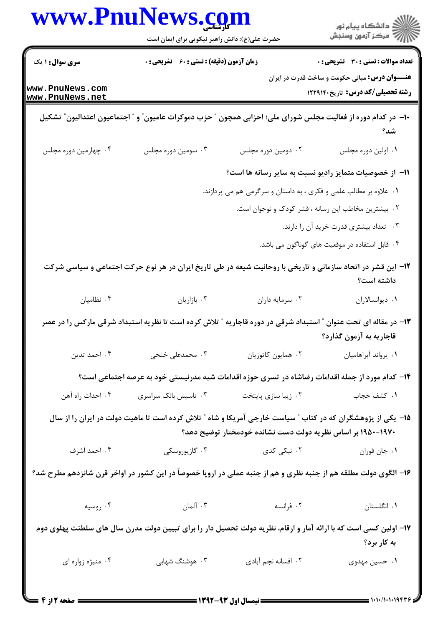|                                    | www.PnuNews.com                                                                                                  |                                                                   | الاد دانشگاه پيام نور<br>الاستمرکز آزمون وسنجش                                            |  |
|------------------------------------|------------------------------------------------------------------------------------------------------------------|-------------------------------------------------------------------|-------------------------------------------------------------------------------------------|--|
|                                    | حضرت علی(ع): دانش راهبر نیکویی برای ایمان است                                                                    |                                                                   |                                                                                           |  |
| <b>سری سوال : ۱ یک</b>             | <b>زمان آزمون (دقیقه) : تستی : 60 ٪ تشریحی : 0</b>                                                               |                                                                   | <b>تعداد سوالات : تستی : 30 ٪ تشریحی : 0</b>                                              |  |
| www.PnuNews.com<br>www.PnuNews.net |                                                                                                                  |                                                                   | <b>عنـــوان درس:</b> مبانی حکومت و ساخت قدرت در ایران<br>رشته تحصیلی/کد درس: تاریخ۱۲۲۹۱۴۰ |  |
|                                    | +ا– در کدام دوره از فعالیت مجلس شورای ملی؛ احزابی همچون ″ حزب دموکرات عامیون″ و ″ اجتماعیون اعتدالیون″ تشکیل     |                                                                   | شد؟                                                                                       |  |
| ۰۴ چهارمین دوره مجلس               | ۰۳ سومین دوره مجلس                                                                                               | ۰۲ دومین دوره مجلس                                                | ٠١. اولين دوره مجلس                                                                       |  |
|                                    |                                                                                                                  | 1۱– از خصوصیات متمایز رادیو نسبت به سایر رسانه ها است؟            |                                                                                           |  |
|                                    |                                                                                                                  | ۰۱ علاوه بر مطالب علمی و فکری ، به داستان و سرگرمی هم می پردازند. |                                                                                           |  |
|                                    |                                                                                                                  | ۰۲ بیشترین مخاطب این رسانه ، قشر کودک و نوجوان است.               |                                                                                           |  |
|                                    |                                                                                                                  |                                                                   | ۰۳ تعداد بیشتری قدرت خرید آن را دارند.                                                    |  |
|                                    |                                                                                                                  |                                                                   | ۰۴ قابل استفاده در موقعیت های گوناگون می باشد.                                            |  |
|                                    | ۱۲– این قشر در اتحاد سازمانی و تاریخی با روحانیت شیعه در طی تاریخ ایران در هر نوع حرکت اجتماعی و سیاسی شرکت      |                                                                   | داشته است؟                                                                                |  |
| ۰۴ نظامیان                         | ۰۳ بازاریان                                                                                                      | ۰۲ سرمايه داران                                                   | ٠١ ديوانسالاران                                                                           |  |
|                                    | ۱۳– در مقاله ای تحت عنوان " استبداد شرقی در دوره قاجاریه " تلاش کرده است تا نظریه استبداد شرقی مارکس را در عصر   |                                                                   | قاجاریه به آزمون گذارد؟                                                                   |  |
| ۰۴ احمد تدين                       | ۰۳ محمدعلی خنجی                                                                                                  | ٠٢ همايون كاتوزيان                                                | ٠١. يرواند أبراهاميان                                                                     |  |
|                                    | ۱۴– کدام مورد از جمله اقدامات رضاشاه در تسری حوزه اقدامات شبه مدرنیستی خود به عرصه اجتماعی است؟                  |                                                                   |                                                                                           |  |
| ۰۴ احداث راه آهن                   | ۰۳ تاسیس بانک سراسری                                                                                             | ۰۲ زیبا سازی پایتخت                                               | ۰۱ کشف حجاب                                                                               |  |
|                                    | ۱۵– یکی از پژوهشگران که در کتاب ″ سیاست خارجی آمریکا و شاه ″ تلاش کرده است تا ماهیت دولت در ایران را از سال      | ۱۹۷۰–۱۹۵۰ بر اساس نظریه دولت دست نشانده خودمختار توضیح دهد؟       |                                                                                           |  |
| ۰۴ احمد اشرف                       | ۰۳ گازيوروسكى                                                                                                    | ۰۲ نیکی کدی                                                       | ٠. جان فوران                                                                              |  |
|                                    | ۱۶– الگوی دولت مطلقه هم از جنبه نظری و هم از جنبه عملی در اروپا خصوصاً در این کشور در اواخر قرن شانزدهم مطرح شد؟ |                                                                   |                                                                                           |  |
| ۰۴ روسیه                           | ۰۳ آلمان                                                                                                         | ۰۲ فرانسه                                                         | ٠١. انگلستان                                                                              |  |
|                                    | ۱۷– اولین کسی است که با ارائه آمار و ارقام، نظریه دولت تحصیل دار را برای تبیین دولت مدرن سال های سلطنت پهلوی دوم |                                                                   | به کار برد؟                                                                               |  |
| ۰۴ منیژه زواره ای                  | ۰۳ هوشنگ شهابی                                                                                                   | ٠٢ افسانه نجم آبادى                                               | ۰۱ حسین مهدوی                                                                             |  |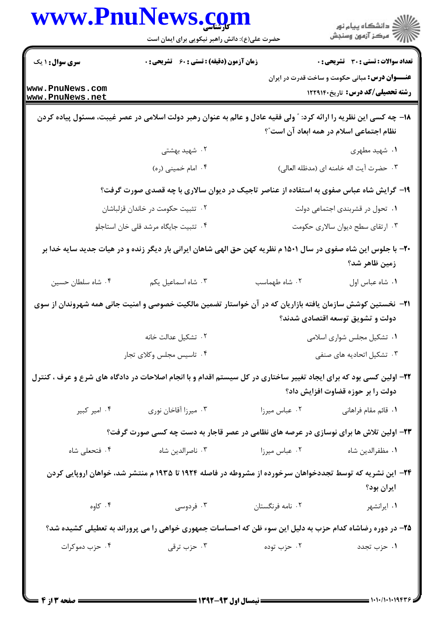|                                    | حضرت علی(ع): دانش راهبر نیکویی برای ایمان است                                                                           |                  | ر دانشگاه پيام نور<br>دانشگاه پيام نور                                                          |  |
|------------------------------------|-------------------------------------------------------------------------------------------------------------------------|------------------|-------------------------------------------------------------------------------------------------|--|
| <b>سری سوال : ۱ یک</b>             | <b>زمان آزمون (دقیقه) : تستی : 60 ٪ تشریحی : 0</b>                                                                      |                  | <b>تعداد سوالات : تستی : 30 ٪ تشریحی : 0</b>                                                    |  |
| www.PnuNews.com<br>www.PnuNews.net |                                                                                                                         |                  | <b>عنـــوان درس:</b> مبانی حکومت و ساخت قدرت در ایران<br><b>رشته تحصیلی/کد درس:</b> تاریخ122914 |  |
|                                    | ۱۸– چه کسی این نظریه را ارائه کرد: ″ ولی فقیه عادل و عالم به عنوان رهبر دولت اسلامی در عصر غیبت، مسئول پیاده کردن       |                  | نظام اجتماعی اسلام در همه ابعاد آن است"؟                                                        |  |
|                                    | ۰۲ شهید بهشتی                                                                                                           |                  | ۰۱ شهید مطهری                                                                                   |  |
|                                    | ۰۴ امام خميني (ره)                                                                                                      |                  | ۰۳ حضرت آيت اله خامنه اى (مدظله العالى)                                                         |  |
|                                    | ۱۹- گرایش شاه عباس صفوی به استفاده از عناصر تاجیک در دیوان سالاری با چه قصدی صورت گرفت؟                                 |                  |                                                                                                 |  |
|                                    | ۰۲ تثبیت حکومت در خاندان قزلباشان                                                                                       |                  | ۰۱ تحول در قشربندی اجتماعی دولت                                                                 |  |
|                                    | ۰۴ تثبیت جایگاه مرشد قلی خان استاجلو                                                                                    |                  | ۰۳ ارتقای سطح دیوان سالاری حکومت                                                                |  |
|                                    | +۲- با جلوس این شاه صفوی در سال ۱۵۰۱ م نظریه کهن حق الهی شاهان ایرانی بار دیگر زنده و در هیات جدید سایه خدا بر          |                  | زمین ظاهر شد؟                                                                                   |  |
| ۰۴ شاه سلطان حسين                  | ۰۳ شاه اسماعيل يكم                                                                                                      | ۰۲ شاه طهماسب    | ٠١. شاه عباس اول                                                                                |  |
|                                    | <del>۲</del> ۱ - نخستین کوشش سازمان یافته بازاریان که در آن خواستار تضمین مالکیت خصوصی و امنیت جانی همه شهروندان از سوی |                  | دولت و تشویق توسعه اقتصادی شدند؟                                                                |  |
|                                    | ۰۲ تشکیل عدالت خانه                                                                                                     |                  | ۰۱ تشکیل مجلس شواری اسلامی                                                                      |  |
|                                    | ۰۴ تاسیس مجلس وکلای تجار                                                                                                |                  | ۰۳ تشکیل اتحادیه های صنفی                                                                       |  |
|                                    |                                                                                                                         |                  |                                                                                                 |  |
|                                    | ۲۲- اولین کسی بود که برای ایجاد تغییر ساختاری در کل سیستم اقدام و با انجام اصلاحات در دادگاه های شرع و عرف ، کنترل      |                  | دولت را بر حوزه قضاوت افزایش داد؟                                                               |  |
| ۰۴ امیر کبیر                       | ۰۳ میرزا آقاخان نوری                                                                                                    | ۰۲ عباس میرزا    | <b>۱</b> .  قائم مقام فراهانی                                                                   |  |
|                                    | ۲۳- اولین تلاش ها برای نوسازی در عرصه های نظامی در عصر قاجار به دست چه کسی صورت گرفت؟                                   |                  |                                                                                                 |  |
| ۰۴ فتحعلی شاه                      | ۰۳ ناصرالدین شاه                                                                                                        | ۰۲ عباس میرزا    | ٠١ مظفرالدين شاه                                                                                |  |
|                                    | ۲۴– این نشریه که توسط تجددخواهان سرخورده از مشروطه در فاصله ۱۹۲۴ تا ۱۹۳۵ م منتشر شد، خواهان اروپایی کردن                |                  | ايران بود؟                                                                                      |  |
| ۰۴ کاوه                            | ۰۳ فردوسی                                                                                                               | ۰۲ نامه فرنگستان | ۰۱ ایرانشهر                                                                                     |  |
|                                    | ۲۵- در دوره رضاشاه کدام حزب به دلیل این سوء ظن که احساسات جمهوری خواهی را می پروراند به تعطیلی کشیده شد؟                |                  |                                                                                                 |  |